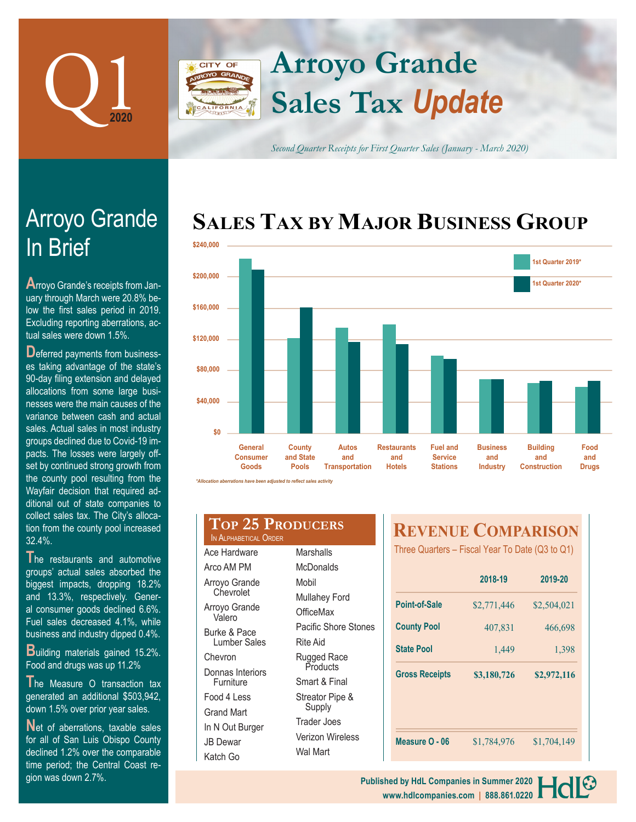

## **Arroyo Grande** CITY OF **Sales Tax** *Update*

*Second Quarter Receipts for First Quarter Sales (January - March 2020)*

# **SALES TAX BY MAJOR BUSINESS GROUP**



| III DHEI                           |  |
|------------------------------------|--|
| Arroyo Grande's receipts from Jan- |  |
| uary through March were 20.8% be-  |  |

Arroyo Grande

In Brief

uary through March were 20.8% below the first sales period in 2019. Excluding reporting aberrations, actual sales were down 1.5%.

**D**eferred payments from businesses taking advantage of the state's 90-day filing extension and delayed allocations from some large businesses were the main causes of the variance between cash and actual sales. Actual sales in most industry groups declined due to Covid-19 impacts. The losses were largely offset by continued strong growth from the county pool resulting from the Wayfair decision that required additional out of state companies to collect sales tax. The City's allocation from the county pool increased 32.4%.

**T**he restaurants and automotive groups' actual sales absorbed the biggest impacts, dropping 18.2% and 13.3%, respectively. General consumer goods declined 6.6%. Fuel sales decreased 4.1%, while business and industry dipped 0.4%.

**B**uilding materials gained 15.2%. Food and drugs was up 11.2%

**T**he Measure O transaction tax generated an additional \$503,942, down 1.5% over prior year sales.

Net of aberrations, taxable sales for all of San Luis Obispo County declined 1.2% over the comparable time period; the Central Coast region was down 2.7%.

| <b>TOP 25 PRODUCERS</b><br>IN ALPHABETICAL ORDER |                      |  |  |
|--------------------------------------------------|----------------------|--|--|
| Ace Hardware                                     | Marshalls            |  |  |
| Arco AM PM                                       | <b>McDonalds</b>     |  |  |
| Arroyo Grande                                    | Mobil                |  |  |
| Chevrolet                                        | <b>Mullahey Ford</b> |  |  |
| Arroyo Grande<br>Valero                          | OfficeMax            |  |  |
| Burke & Pace                                     | Pacific Shore Stones |  |  |
| Lumber Sales                                     | <b>Rite Aid</b>      |  |  |
| Chevron                                          | Rugged Race          |  |  |
| Donnas Interiors                                 | Products             |  |  |
| Furniture                                        | Smart & Final        |  |  |
| Food 4 Less                                      | Streator Pipe &      |  |  |
| Grand Mart                                       | Supply               |  |  |
| In N Out Burger                                  | <b>Trader Joes</b>   |  |  |
|                                                  | Verizon Wireless     |  |  |

Wal Mart

JB Dewar Katch Go

## **REVENUE COMPARISON**

Three Quarters – Fiscal Year To Date (Q3 to Q1)

|                       | 2018-19     | 2019-20          |  |
|-----------------------|-------------|------------------|--|
| Point-of-Sale         | \$2,771,446 | \$2,504,021      |  |
| <b>County Pool</b>    | 407,831     | 466,698<br>1,398 |  |
| <b>State Pool</b>     | 1,449       |                  |  |
| <b>Gross Receipts</b> | \$3,180,726 | \$2,972,116      |  |
|                       |             |                  |  |
|                       |             |                  |  |
| Measure O - 06        | \$1,784,976 | \$1,704,149      |  |